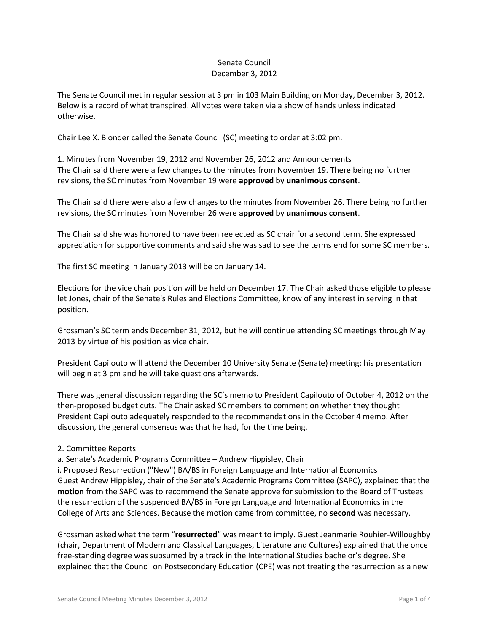## Senate Council December 3, 2012

The Senate Council met in regular session at 3 pm in 103 Main Building on Monday, December 3, 2012. Below is a record of what transpired. All votes were taken via a show of hands unless indicated otherwise.

Chair Lee X. Blonder called the Senate Council (SC) meeting to order at 3:02 pm.

1. Minutes from November 19, 2012 and November 26, 2012 and Announcements The Chair said there were a few changes to the minutes from November 19. There being no further revisions, the SC minutes from November 19 were **approved** by **unanimous consent**.

The Chair said there were also a few changes to the minutes from November 26. There being no further revisions, the SC minutes from November 26 were **approved** by **unanimous consent**.

The Chair said she was honored to have been reelected as SC chair for a second term. She expressed appreciation for supportive comments and said she was sad to see the terms end for some SC members.

The first SC meeting in January 2013 will be on January 14.

Elections for the vice chair position will be held on December 17. The Chair asked those eligible to please let Jones, chair of the Senate's Rules and Elections Committee, know of any interest in serving in that position.

Grossman's SC term ends December 31, 2012, but he will continue attending SC meetings through May 2013 by virtue of his position as vice chair.

President Capilouto will attend the December 10 University Senate (Senate) meeting; his presentation will begin at 3 pm and he will take questions afterwards.

There was general discussion regarding the SC's memo to President Capilouto of October 4, 2012 on the then-proposed budget cuts. The Chair asked SC members to comment on whether they thought President Capilouto adequately responded to the recommendations in the October 4 memo. After discussion, the general consensus was that he had, for the time being.

# 2. Committee Reports

a. Senate's Academic Programs Committee – Andrew Hippisley, Chair

i. Proposed Resurrection ("New") BA/BS in Foreign Language and International Economics Guest Andrew Hippisley, chair of the Senate's Academic Programs Committee (SAPC), explained that the **motion** from the SAPC was to recommend the Senate approve for submission to the Board of Trustees the resurrection of the suspended BA/BS in Foreign Language and International Economics in the College of Arts and Sciences. Because the motion came from committee, no **second** was necessary.

Grossman asked what the term "**resurrected**" was meant to imply. Guest Jeanmarie Rouhier-Willoughby (chair, Department of Modern and Classical Languages, Literature and Cultures) explained that the once free-standing degree was subsumed by a track in the International Studies bachelor's degree. She explained that the Council on Postsecondary Education (CPE) was not treating the resurrection as a new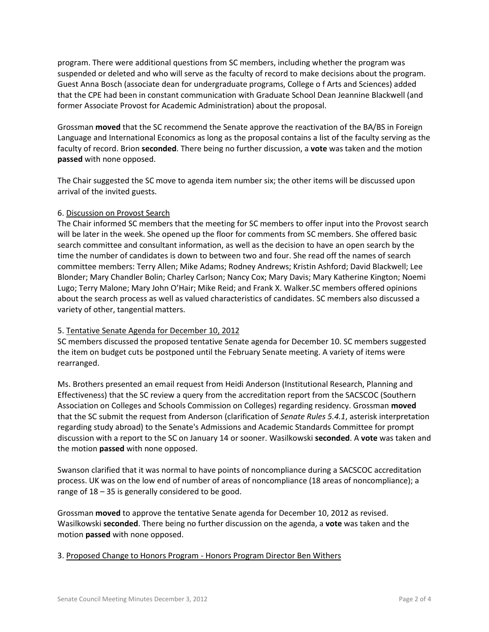program. There were additional questions from SC members, including whether the program was suspended or deleted and who will serve as the faculty of record to make decisions about the program. Guest Anna Bosch (associate dean for undergraduate programs, College o f Arts and Sciences) added that the CPE had been in constant communication with Graduate School Dean Jeannine Blackwell (and former Associate Provost for Academic Administration) about the proposal.

Grossman **moved** that the SC recommend the Senate approve the reactivation of the BA/BS in Foreign Language and International Economics as long as the proposal contains a list of the faculty serving as the faculty of record. Brion **seconded**. There being no further discussion, a **vote** was taken and the motion **passed** with none opposed.

The Chair suggested the SC move to agenda item number six; the other items will be discussed upon arrival of the invited guests.

# 6. Discussion on Provost Search

The Chair informed SC members that the meeting for SC members to offer input into the Provost search will be later in the week. She opened up the floor for comments from SC members. She offered basic search committee and consultant information, as well as the decision to have an open search by the time the number of candidates is down to between two and four. She read off the names of search committee members: Terry Allen; Mike Adams; Rodney Andrews; Kristin Ashford; David Blackwell; Lee Blonder; Mary Chandler Bolin; Charley Carlson; Nancy Cox; Mary Davis; Mary Katherine Kington; Noemi Lugo; Terry Malone; Mary John O'Hair; Mike Reid; and Frank X. Walker.SC members offered opinions about the search process as well as valued characteristics of candidates. SC members also discussed a variety of other, tangential matters.

# 5. Tentative Senate Agenda for December 10, 2012

SC members discussed the proposed tentative Senate agenda for December 10. SC members suggested the item on budget cuts be postponed until the February Senate meeting. A variety of items were rearranged.

Ms. Brothers presented an email request from Heidi Anderson (Institutional Research, Planning and Effectiveness) that the SC review a query from the accreditation report from the SACSCOC (Southern Association on Colleges and Schools Commission on Colleges) regarding residency. Grossman **moved** that the SC submit the request from Anderson (clarification of *Senate Rules 5.4.1*, asterisk interpretation regarding study abroad) to the Senate's Admissions and Academic Standards Committee for prompt discussion with a report to the SC on January 14 or sooner. Wasilkowski **seconded**. A **vote** was taken and the motion **passed** with none opposed.

Swanson clarified that it was normal to have points of noncompliance during a SACSCOC accreditation process. UK was on the low end of number of areas of noncompliance (18 areas of noncompliance); a range of 18 – 35 is generally considered to be good.

Grossman **moved** to approve the tentative Senate agenda for December 10, 2012 as revised. Wasilkowski **seconded**. There being no further discussion on the agenda, a **vote** was taken and the motion **passed** with none opposed.

# 3. Proposed Change to Honors Program - Honors Program Director Ben Withers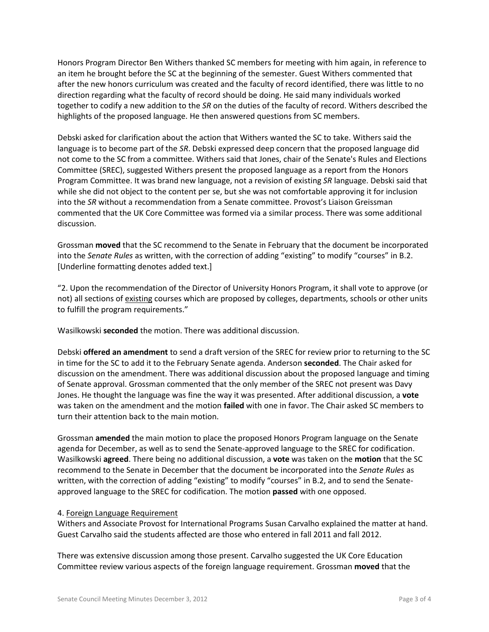Honors Program Director Ben Withers thanked SC members for meeting with him again, in reference to an item he brought before the SC at the beginning of the semester. Guest Withers commented that after the new honors curriculum was created and the faculty of record identified, there was little to no direction regarding what the faculty of record should be doing. He said many individuals worked together to codify a new addition to the *SR* on the duties of the faculty of record. Withers described the highlights of the proposed language. He then answered questions from SC members.

Debski asked for clarification about the action that Withers wanted the SC to take. Withers said the language is to become part of the *SR*. Debski expressed deep concern that the proposed language did not come to the SC from a committee. Withers said that Jones, chair of the Senate's Rules and Elections Committee (SREC), suggested Withers present the proposed language as a report from the Honors Program Committee. It was brand new language, not a revision of existing *SR* language. Debski said that while she did not object to the content per se, but she was not comfortable approving it for inclusion into the *SR* without a recommendation from a Senate committee. Provost's Liaison Greissman commented that the UK Core Committee was formed via a similar process. There was some additional discussion.

Grossman **moved** that the SC recommend to the Senate in February that the document be incorporated into the *Senate Rules* as written, with the correction of adding "existing" to modify "courses" in B.2. [Underline formatting denotes added text.]

"2. Upon the recommendation of the Director of University Honors Program, it shall vote to approve (or not) all sections of existing courses which are proposed by colleges, departments, schools or other units to fulfill the program requirements."

Wasilkowski **seconded** the motion. There was additional discussion.

Debski **offered an amendment** to send a draft version of the SREC for review prior to returning to the SC in time for the SC to add it to the February Senate agenda. Anderson **seconded**. The Chair asked for discussion on the amendment. There was additional discussion about the proposed language and timing of Senate approval. Grossman commented that the only member of the SREC not present was Davy Jones. He thought the language was fine the way it was presented. After additional discussion, a **vote** was taken on the amendment and the motion **failed** with one in favor. The Chair asked SC members to turn their attention back to the main motion.

Grossman **amended** the main motion to place the proposed Honors Program language on the Senate agenda for December, as well as to send the Senate-approved language to the SREC for codification. Wasilkowski **agreed**. There being no additional discussion, a **vote** was taken on the **motion** that the SC recommend to the Senate in December that the document be incorporated into the *Senate Rules* as written, with the correction of adding "existing" to modify "courses" in B.2, and to send the Senateapproved language to the SREC for codification. The motion **passed** with one opposed.

# 4. Foreign Language Requirement

Withers and Associate Provost for International Programs Susan Carvalho explained the matter at hand. Guest Carvalho said the students affected are those who entered in fall 2011 and fall 2012.

There was extensive discussion among those present. Carvalho suggested the UK Core Education Committee review various aspects of the foreign language requirement. Grossman **moved** that the